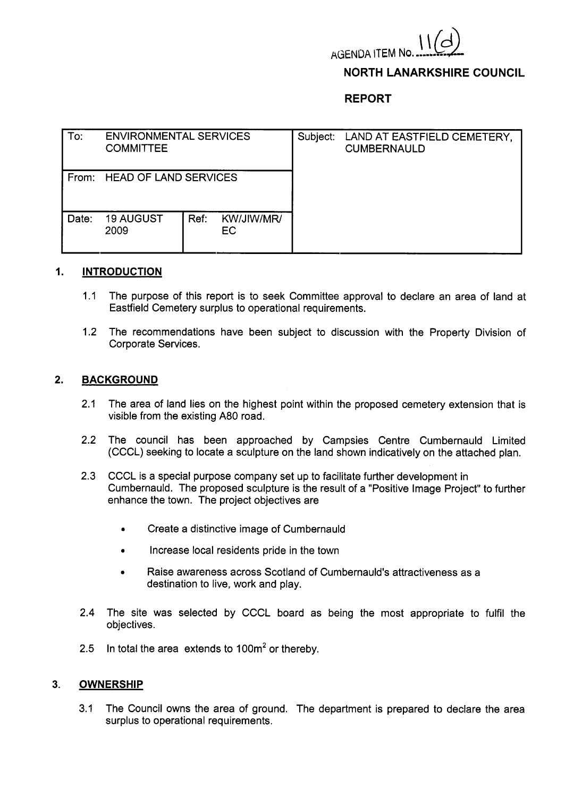

### **NORTH LANARKSHIRE COUNCIL**

# **REPORT**

| To:   | <b>ENVIRONMENTAL SERVICES</b><br><b>COMMITTEE</b> |      |                  | Subject: | LAND AT EASTFIELD CEMETERY,<br><b>CUMBERNAULD</b> |
|-------|---------------------------------------------------|------|------------------|----------|---------------------------------------------------|
| From: | <b>HEAD OF LAND SERVICES</b>                      |      |                  |          |                                                   |
| Date: | <b>19 AUGUST</b><br>2009                          | Ref. | KW/JIW/MR/<br>EC |          |                                                   |

#### **1. INTRODUCTION**

- 1.1 The purpose of this report is to seek Committee approval to declare an area of land at Eastfield Cemetery surplus to operational requirements.
- 1.2 The recommendations have been subject to discussion with the Property Division of Corporate Services.

### **2. BACKGROUND**

- 2.1 The area of land lies on the highest point within the proposed cemetery extension that is visible from the existing **A80** road.
- 2.2 The council has been approached by Campsies Centre Cumbernauld Limited (CCCL) seeking to locate a sculpture on the land shown indicatively on the attached plan.
- **2.3** CCCL is a special purpose company set up to facilitate further development in Cumbernauld. The proposed sculpture is the result of a "Positive Image Project'' to further enhance the town. The project objectives are
	- Create a distinctive image of Cumbernauld
	- Increase local residents pride in the town
	- *<sup>0</sup>*Raise awareness across Scotland of Cumbernauld's attractiveness as a destination to live, work and play.
- 2.4 The site was selected by CCCL board as being the most appropriate to fulfil the objectives .
- 2.5 In total the area extends to  $100m^2$  or thereby.

### **3. OWNERSHIP**

3.1 The Council owns the area of ground. The department is prepared to declare the area surplus to operational requirements.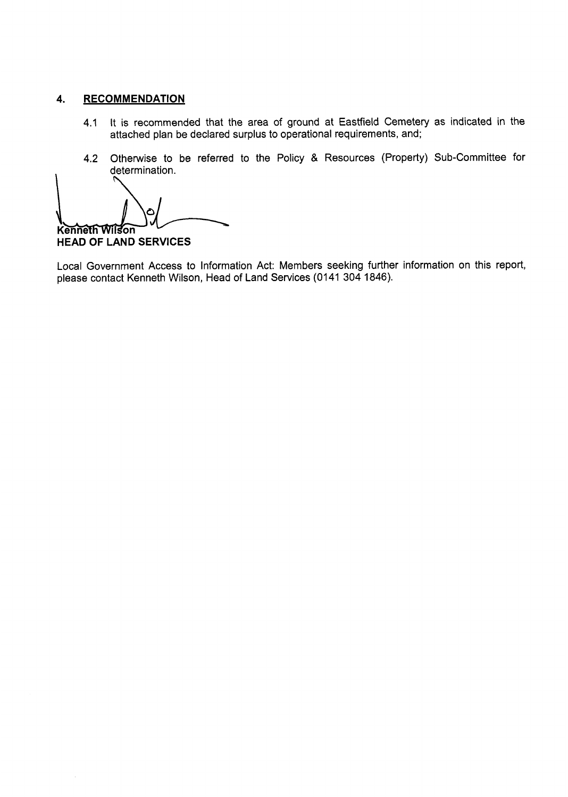# **4. RECOMMENDATION**

- 4.1 It is recommended that the area of ground at Eastfield Cemetery as indicated in the attached plan be declared surplus to operational requirements, and;
- 4.2 Otherwise to be referred to the Policy & Resources (Property) Sub-Committee for determination.

∩ Kenneth Wilson

**HEAD OF LAND SERVICES** 

Local Government Access to Information Act: Members seeking further information on this report, please contact Kenneth Wilson, Head of Land Services (0141 304 1846).